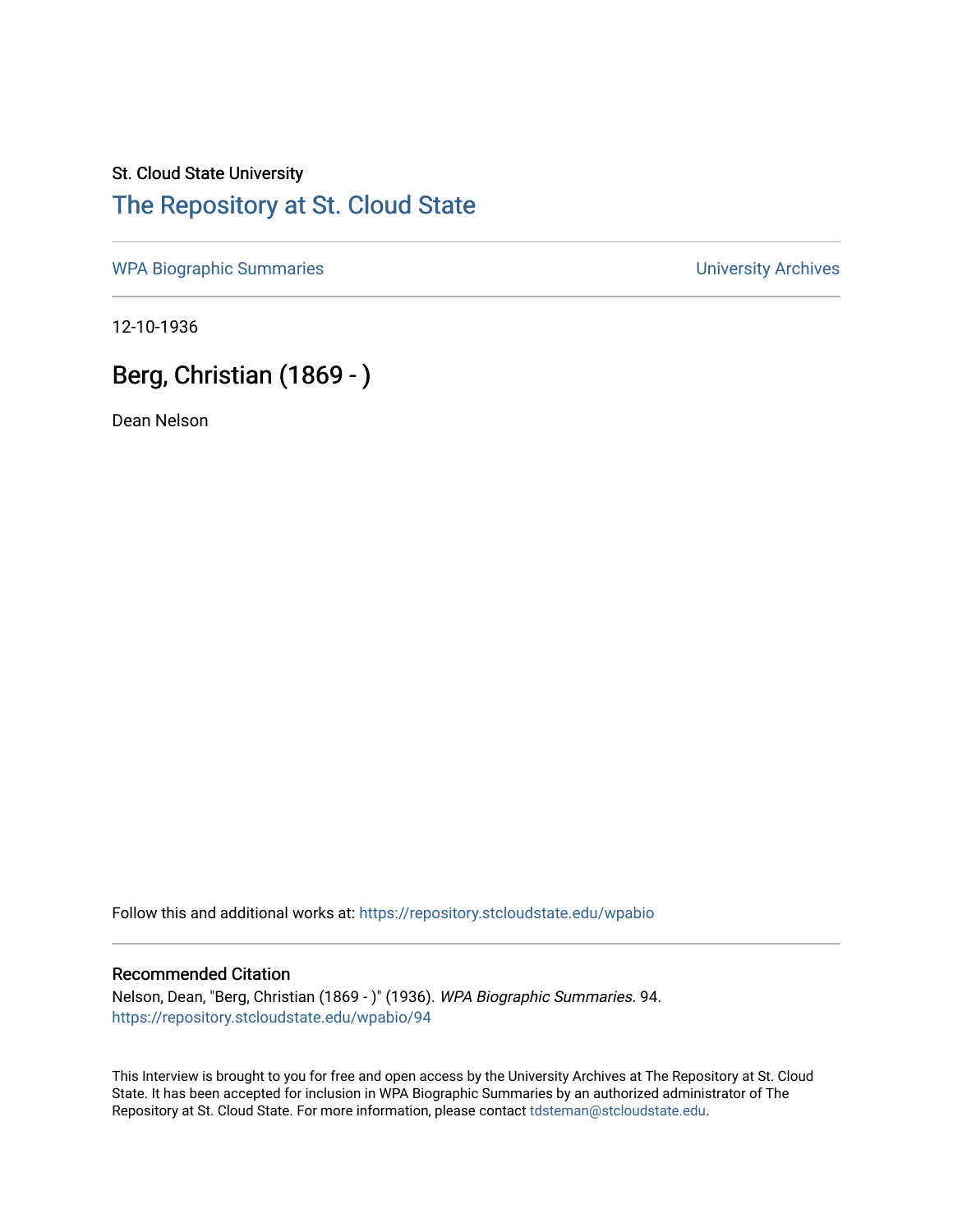### St. Cloud State University [The Repository at St. Cloud State](https://repository.stcloudstate.edu/)

[WPA Biographic Summaries](https://repository.stcloudstate.edu/wpabio) **WPA Biographic Summaries University Archives** 

12-10-1936

## Berg, Christian (1869 - )

Dean Nelson

Follow this and additional works at: [https://repository.stcloudstate.edu/wpabio](https://repository.stcloudstate.edu/wpabio?utm_source=repository.stcloudstate.edu%2Fwpabio%2F94&utm_medium=PDF&utm_campaign=PDFCoverPages) 

#### Recommended Citation

Nelson, Dean, "Berg, Christian (1869 - )" (1936). WPA Biographic Summaries. 94. [https://repository.stcloudstate.edu/wpabio/94](https://repository.stcloudstate.edu/wpabio/94?utm_source=repository.stcloudstate.edu%2Fwpabio%2F94&utm_medium=PDF&utm_campaign=PDFCoverPages)

This Interview is brought to you for free and open access by the University Archives at The Repository at St. Cloud State. It has been accepted for inclusion in WPA Biographic Summaries by an authorized administrator of The Repository at St. Cloud State. For more information, please contact [tdsteman@stcloudstate.edu.](mailto:tdsteman@stcloudstate.edu)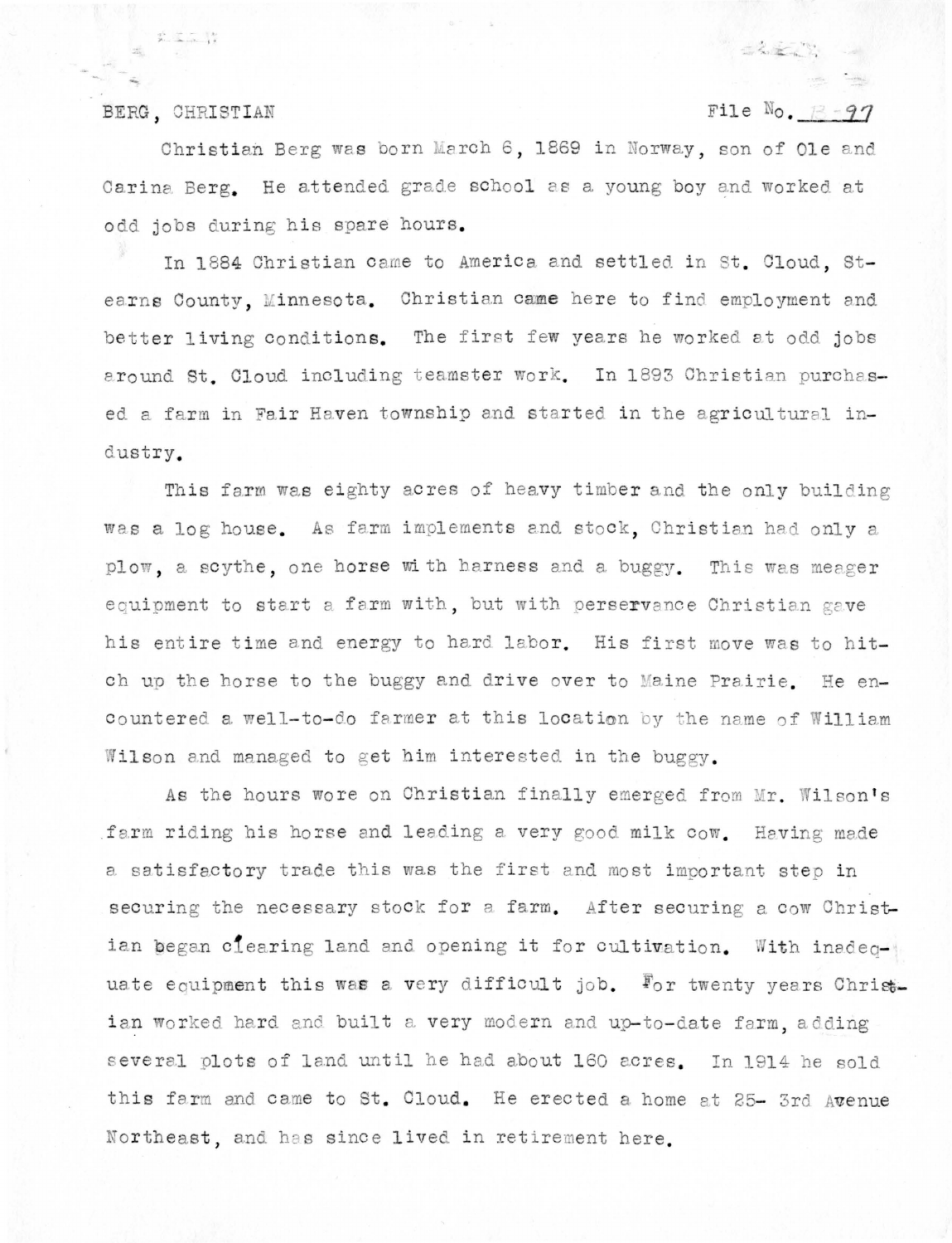#### BERG. CHRISTIAN

 $\frac{p^2}{p}$  .  $\frac{p}{p}$  .  $\frac{p}{p}$ 

#### File  $\mathbb{N}_0$ ,  $\mathbb{R} - 97$

 $\label{eq:1} \mathcal{L}_{\text{MSE}} = \mathcal{L}_{\text{MSE}}$ 

LEAN -

Christian Berg was born March 6, 1869 in Norway, son of Ole and Carina Berg. He attended grade school as a young boy and worked at odd jobs during his spare hours.

In 1884 Christian came to America and settled in St. Cloud. Stearns County, Minnesota. Christian came here to find employment and better living conditions. The first few years he worked at odd jobs around St. Cloud including teamster work. In 1893 Christian purchased a farm in Fair Haven township and started in the agricultural industry.

This farm was eighty acres of heavy timber and the only building was a log house. As farm implements and stock, Christian had only a plow, a scythe, one horse with harness and a buggy. This was meager equipment to start a farm with, but with perservance Christian gave his entire time and energy to hard labor. His first move was to hitch up the horse to the buggy and drive over to Maine Prairie. He encountered a well-to-do farmer at this location by the name of William Wilson and managed to get him interested in the buggy.

As the hours wore on Christian finally emerged from Mr. Wilson's farm riding his horse and leading a very good milk cow. Having made a satisfactory trade this was the first and most important step in securing the necessary stock for a farm. After securing a cow Christian began clearing land and opening it for cultivation. With inadequate equipment this was a very difficult job. For twenty years Christian worked hard and built a very modern and up-to-date farm, adding several plots of land until he had about 160 acres. In 1914 he sold this farm and came to St. Cloud. He erected a home at 25- 3rd Avenue Northeast, and has since lived in retirement here.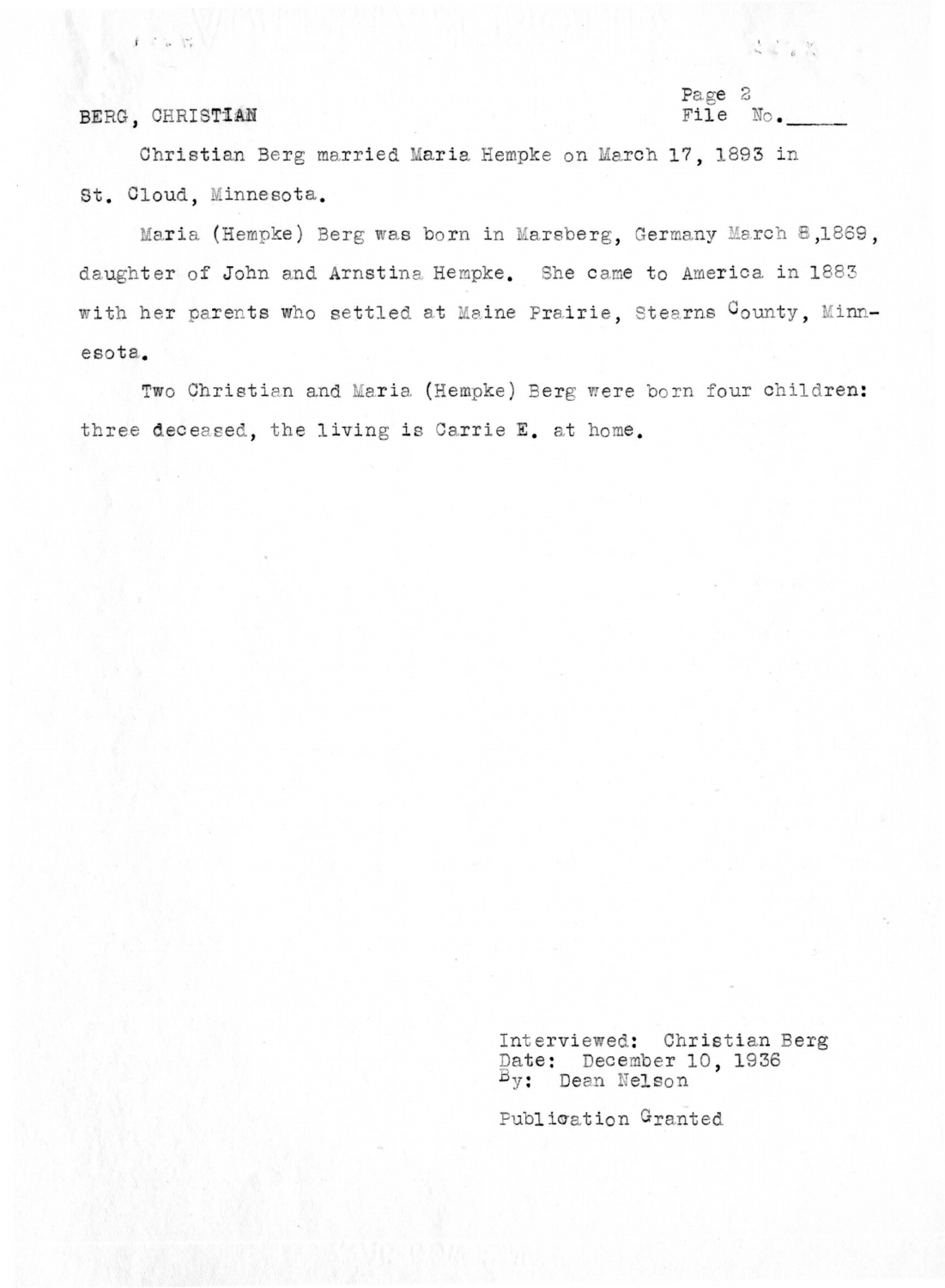### BERG, CHRISTIAN

 $f \in \mathcal{C} \setminus \{ \mathcal{C}_r \}$ 

#### Page 2 File No.

Christian Berg married Maria Hempke on March 17, 1893 in St. Cloud. Minnesota.

Maria (Hempke) Berg was born in Marsberg, Germany March 8,1869, daughter of John and Arnstina Hempke. She came to America in 1883 with her parents who settled at Maine Prairie, Stearns County, Minnesota.

Two Christian and Maria (Hempke) Berg were born four children: three deceased, the living is Carrie E. at home.

> Interviewed: Christian Berg Date: December 10, 1936 By: Dean Nelson

Publication Granted